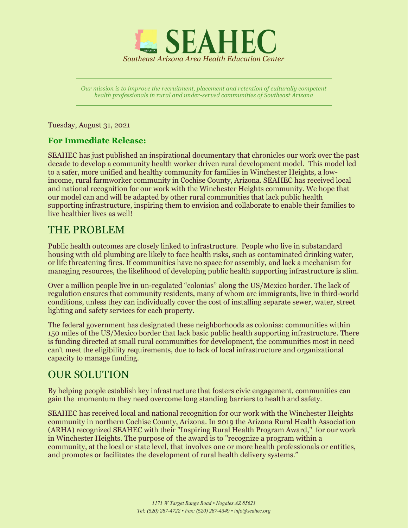

*Our mission is to improve the recruitment, placement and retention of culturally competent health professionals in rural and under-served communities of Southeast Arizona*

Tuesday, August 31, 2021

## **For Immediate Release:**

SEAHEC has just published an inspirational documentary that chronicles our work over the past decade to develop a community health worker driven rural development model. This model led to a safer, more unified and healthy community for families in Winchester Heights, a lowincome, rural farmworker community in Cochise County, Arizona. SEAHEC has received local and national recognition for our work with the Winchester Heights community. We hope that our model can and will be adapted by other rural communities that lack public health supporting infrastructure, inspiring them to envision and collaborate to enable their families to live healthier lives as well!

## THE PROBLEM

Public health outcomes are closely linked to infrastructure. People who live in substandard housing with old plumbing are likely to face health risks, such as contaminated drinking water, or life threatening fires. If communities have no space for assembly, and lack a mechanism for managing resources, the likelihood of developing public health supporting infrastructure is slim.

Over a million people live in un-regulated "colonias" along the US/Mexico border. The lack of regulation ensures that community residents, many of whom are immigrants, live in third-world conditions, unless they can individually cover the cost of installing separate sewer, water, street lighting and safety services for each property.

The federal government has designated these neighborhoods as colonias: communities within 150 miles of the US/Mexico border that lack basic public health supporting infrastructure. There is funding directed at small rural communities for development, the communities most in need can't meet the eligibility requirements, due to lack of local infrastructure and organizational capacity to manage funding.

## OUR SOLUTION

By helping people establish key infrastructure that fosters civic engagement, communities can gain the momentum they need overcome long standing barriers to health and safety.

SEAHEC has received local and national recognition for our work with the Winchester Heights community in northern Cochise County, Arizona. In 2019 the Arizona Rural Health Association (ARHA) recognized SEAHEC with their "Inspiring Rural Health Program Award," for our work in Winchester Heights. The purpose of the award is to "recognize a program within a community, at the local or state level, that involves one or more health professionals or entities, and promotes or facilitates the development of rural health delivery systems."